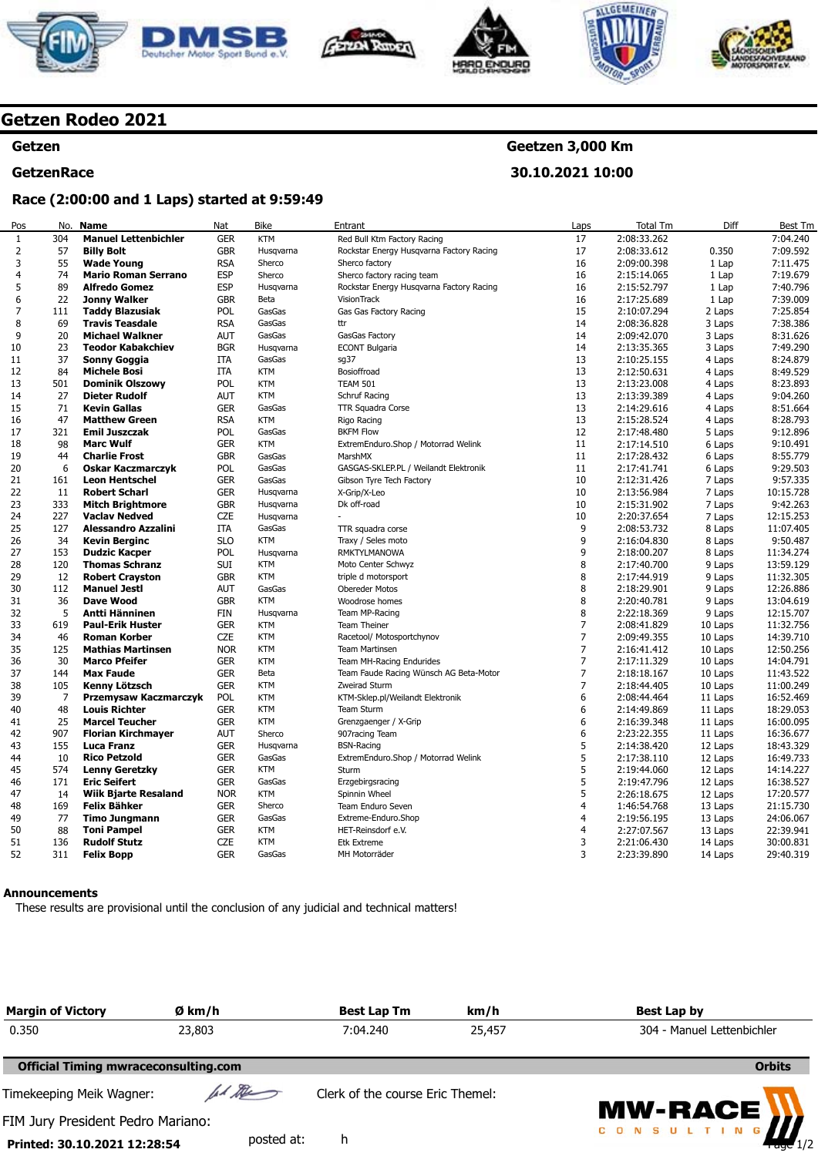









# **Getzen Rodeo 2021**

#### **Getzen**

# **GetzenRace**

# **Geetzen 3,000 Km**

**30.10.2021 10:00** 

## **Race (2:00:00 and 1 Laps) started at 9:59:49**

| Pos            | No.            | <b>Name</b>                                    | Nat        | <b>Bike</b>       | Entrant                                  | Laps           | <b>Total Tm</b> | Diff    | <b>Best Tm</b> |
|----------------|----------------|------------------------------------------------|------------|-------------------|------------------------------------------|----------------|-----------------|---------|----------------|
| $\mathbf{1}$   | 304            | <b>Manuel Lettenbichler</b>                    | <b>GER</b> | <b>KTM</b>        | Red Bull Ktm Factory Racing              | 17             | 2:08:33.262     |         | 7:04.240       |
| 2              | 57             | <b>Billy Bolt</b>                              | <b>GBR</b> | Husqvarna         | Rockstar Energy Husqvarna Factory Racing | 17             | 2:08:33.612     | 0.350   | 7:09.592       |
| 3              | 55             | <b>Wade Young</b>                              | <b>RSA</b> | Sherco            | Sherco factory                           | 16             | 2:09:00.398     | 1 Lap   | 7:11.475       |
| 4              | 74             | <b>Mario Roman Serrano</b>                     | <b>ESP</b> | Sherco            | Sherco factory racing team               | 16             | 2:15:14.065     | 1 Lap   | 7:19.679       |
| 5              | 89             | <b>Alfredo Gomez</b>                           | <b>ESP</b> | Husqvarna         | Rockstar Energy Husqvarna Factory Racing | 16             | 2:15:52.797     | 1 Lap   | 7:40.796       |
| 6              | 22             | <b>Jonny Walker</b>                            | <b>GBR</b> | Beta              | VisionTrack                              | 16             | 2:17:25.689     | 1 Lap   | 7:39.009       |
| $\overline{7}$ | 111            | <b>Taddy Blazusiak</b>                         | POL        | GasGas            | Gas Gas Factory Racing                   | 15             | 2:10:07.294     | 2 Laps  | 7:25.854       |
| 8              | 69             | <b>Travis Teasdale</b>                         | <b>RSA</b> | GasGas            | ttr                                      | 14             | 2:08:36.828     | 3 Laps  | 7:38.386       |
| 9              | 20             | <b>Michael Walkner</b>                         | AUT        | GasGas            | GasGas Factory                           | 14             | 2:09:42.070     | 3 Laps  | 8:31.626       |
| 10             | 23             | <b>Teodor Kabakchiev</b>                       | <b>BGR</b> | Husqvarna         | <b>ECONT Bulgaria</b>                    | 14             | 2:13:35.365     | 3 Laps  | 7:49.290       |
| 11             | 37             | Sonny Goggia                                   | <b>ITA</b> | GasGas            | sg37                                     | 13             | 2:10:25.155     | 4 Laps  | 8:24.879       |
| 12             | 84             | <b>Michele Bosi</b>                            | <b>ITA</b> | <b>KTM</b>        | Bosioffroad                              | 13             | 2:12:50.631     | 4 Laps  | 8:49.529       |
| 13             | 501            |                                                | POL        | <b>KTM</b>        | <b>TEAM 501</b>                          | 13             | 2:13:23.008     |         | 8:23.893       |
|                | 27             | <b>Dominik Olszowy</b><br><b>Dieter Rudolf</b> |            | <b>KTM</b>        |                                          | 13             |                 | 4 Laps  |                |
| 14             | 71             |                                                | AUT        |                   | Schruf Racing                            |                | 2:13:39.389     | 4 Laps  | 9:04.260       |
| 15             |                | <b>Kevin Gallas</b>                            | <b>GER</b> | GasGas            | TTR Squadra Corse                        | 13             | 2:14:29.616     | 4 Laps  | 8:51.664       |
| 16             | 47             | <b>Matthew Green</b>                           | <b>RSA</b> | <b>KTM</b>        | Rigo Racing                              | 13             | 2:15:28.524     | 4 Laps  | 8:28.793       |
| 17             | 321            | <b>Emil Juszczak</b>                           | POL        | GasGas            | <b>BKFM Flow</b>                         | 12             | 2:17:48.480     | 5 Laps  | 9:12.896       |
| 18             | 98             | <b>Marc Wulf</b>                               | <b>GER</b> | <b>KTM</b>        | ExtremEnduro.Shop / Motorrad Welink      | 11             | 2:17:14.510     | 6 Laps  | 9:10.491       |
| 19             | 44             | <b>Charlie Frost</b>                           | <b>GBR</b> | GasGas            | MarshMX                                  | 11             | 2:17:28.432     | 6 Laps  | 8:55.779       |
| 20             | 6              | <b>Oskar Kaczmarczyk</b>                       | POL        | GasGas            | GASGAS-SKLEP.PL / Weilandt Elektronik    | 11             | 2:17:41.741     | 6 Laps  | 9:29.503       |
| 21             | 161            | <b>Leon Hentschel</b>                          | <b>GER</b> | GasGas            | Gibson Tyre Tech Factory                 | 10             | 2:12:31.426     | 7 Laps  | 9:57.335       |
| 22             | 11             | <b>Robert Scharl</b>                           | <b>GER</b> | Husgvarna         | X-Grip/X-Leo                             | 10             | 2:13:56.984     | 7 Laps  | 10:15.728      |
| 23             | 333            | <b>Mitch Brightmore</b>                        | <b>GBR</b> | Husgvarna         | Dk off-road                              | 10             | 2:15:31.902     | 7 Laps  | 9:42.263       |
| 24             | 227            | <b>Vaclav Nedved</b>                           | <b>CZE</b> | Husgvarna         |                                          | 10             | 2:20:37.654     | 7 Laps  | 12:15.253      |
| 25             | 127            | <b>Alessandro Azzalini</b>                     | <b>ITA</b> | GasGas            | TTR squadra corse                        | 9              | 2:08:53.732     | 8 Laps  | 11:07.405      |
| 26             | 34             | <b>Kevin Berginc</b>                           | <b>SLO</b> | <b>KTM</b>        | Traxy / Seles moto                       | 9              | 2:16:04.830     | 8 Laps  | 9:50.487       |
| 27             | 153            | <b>Dudzic Kacper</b>                           | POL        | Husqvarna         | RMKTYLMANOWA                             | 9              | 2:18:00.207     | 8 Laps  | 11:34.274      |
| 28             | 120            | <b>Thomas Schranz</b>                          | <b>SUI</b> | <b>KTM</b>        | Moto Center Schwyz                       | 8              | 2:17:40.700     | 9 Laps  | 13:59.129      |
| 29             | 12             | <b>Robert Crayston</b>                         | <b>GBR</b> | <b>KTM</b>        | triple d motorsport                      | 8              | 2:17:44.919     | 9 Laps  | 11:32.305      |
| 30             | 112            | <b>Manuel Jesti</b>                            | <b>AUT</b> | GasGas            | <b>Obereder Motos</b>                    | 8              | 2:18:29.901     | 9 Laps  | 12:26.886      |
| 31             | 36             | <b>Dave Wood</b>                               | <b>GBR</b> | <b>KTM</b>        | Woodrose homes                           | 8              | 2:20:40.781     | 9 Laps  | 13:04.619      |
| 32             | 5              | Antti Hänninen                                 | <b>FIN</b> | Husgvarna         | Team MP-Racing                           | 8              | 2:22:18.369     | 9 Laps  | 12:15.707      |
| 33             | 619            | <b>Paul-Erik Huster</b>                        | <b>GER</b> | <b>KTM</b>        | <b>Team Theiner</b>                      | 7              | 2:08:41.829     | 10 Laps | 11:32.756      |
| 34             | 46             | <b>Roman Korber</b>                            | <b>CZE</b> | <b>KTM</b>        | Racetool/ Motosportchynov                | $\overline{7}$ | 2:09:49.355     | 10 Laps | 14:39.710      |
| 35             | 125            | <b>Mathias Martinsen</b>                       | <b>NOR</b> | <b>KTM</b>        | <b>Team Martinsen</b>                    | 7              | 2:16:41.412     | 10 Laps | 12:50.256      |
| 36             | 30             | <b>Marco Pfeifer</b>                           | <b>GER</b> | <b>KTM</b>        | Team MH-Racing Endurides                 | $\overline{7}$ | 2:17:11.329     | 10 Laps | 14:04.791      |
| 37             | 144            | <b>Max Faude</b>                               | <b>GER</b> | Beta              | Team Faude Racing Wünsch AG Beta-Motor   | $\overline{7}$ | 2:18:18.167     | 10 Laps | 11:43.522      |
| 38             | 105            | Kenny Lötzsch                                  | <b>GER</b> | <b>KTM</b>        | Zweirad Sturm                            | $\overline{7}$ | 2:18:44.405     | 10 Laps | 11:00.249      |
| 39             | $\overline{7}$ | Przemysaw Kaczmarczyk                          | POL        | <b>KTM</b>        | KTM-Sklep.pl/Weilandt Elektronik         | 6              | 2:08:44.464     | 11 Laps | 16:52.469      |
| 40             | 48             | <b>Louis Richter</b>                           | <b>GER</b> | <b>KTM</b>        | Team Sturm                               | 6              | 2:14:49.869     | 11 Laps | 18:29.053      |
| 41             | 25             | <b>Marcel Teucher</b>                          | <b>GER</b> | <b>KTM</b>        | Grenzgaenger / X-Grip                    | 6              | 2:16:39.348     | 11 Laps | 16:00.095      |
| 42             | 907            | <b>Florian Kirchmayer</b>                      | <b>AUT</b> | Sherco            | 907racing Team                           | 6              | 2:23:22.355     | 11 Laps | 16:36.677      |
| 43             | 155            | Luca Franz                                     | <b>GER</b> | Husgvarna         | <b>BSN-Racing</b>                        | 5              | 2:14:38.420     | 12 Laps | 18:43.329      |
| 44             | 10             | <b>Rico Petzold</b>                            | <b>GER</b> | GasGas            | ExtremEnduro.Shop / Motorrad Welink      | 5              | 2:17:38.110     | 12 Laps | 16:49.733      |
| 45             | 574            | <b>Lenny Geretzky</b>                          | <b>GER</b> | <b>KTM</b>        | Sturm                                    | 5              | 2:19:44.060     | 12 Laps | 14:14.227      |
| 46             | 171            | <b>Eric Seifert</b>                            | <b>GER</b> | GasGas            | Erzgebirgsracing                         | 5              | 2:19:47.796     | 12 Laps | 16:38.527      |
| 47             | 14             | <b>Wiik Bjarte Resaland</b>                    | <b>NOR</b> | <b>KTM</b>        | Spinnin Wheel                            | 5              | 2:26:18.675     | 12 Laps | 17:20.577      |
| 48             | 169            | <b>Felix Bähker</b>                            | <b>GER</b> | Sherco            | Team Enduro Seven                        | 4              | 1:46:54.768     | 13 Laps | 21:15.730      |
| 49             | 77             |                                                | <b>GER</b> | GasGas            | Extreme-Enduro.Shop                      | 4              |                 |         | 24:06.067      |
|                |                | <b>Timo Jungmann</b>                           |            |                   |                                          |                | 2:19:56.195     | 13 Laps |                |
| 50             | 88             | <b>Toni Pampel</b>                             | <b>GER</b> | KTM<br><b>KTM</b> | HET-Reinsdorf e.V.                       | 4              | 2:27:07.567     | 13 Laps | 22:39.941      |
| 51             | 136            | <b>Rudolf Stutz</b>                            | <b>CZE</b> |                   | <b>Etk Extreme</b>                       | 3              | 2:21:06.430     | 14 Laps | 30:00.831      |
| 52             | 311            | <b>Felix Bopp</b>                              | <b>GER</b> | GasGas            | MH Motorräder                            | 3              | 2:23:39.890     | 14 Laps | 29:40.319      |

#### **Announcements**

These results are provisional until the conclusion of any judicial and technical matters!